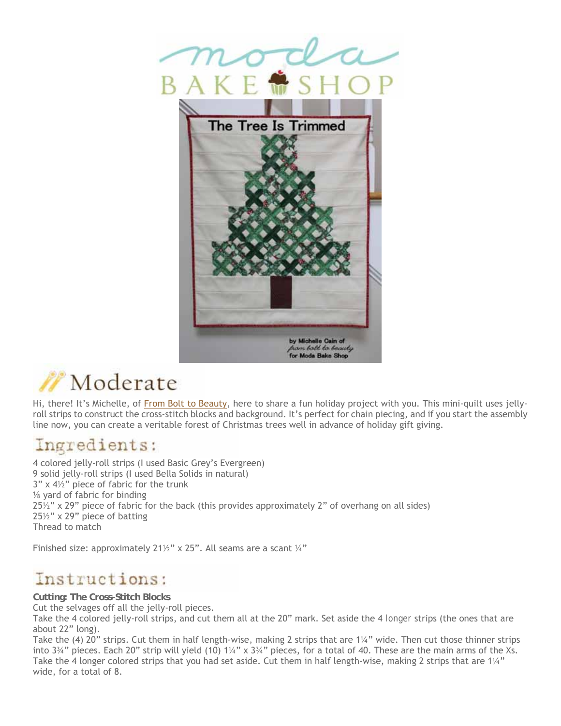

# Moderate

Hi, there! It's Michelle, of From Bolt to Beauty, here to share a fun holiday project with you. This mini-quilt uses jellyroll strips to construct the cross-stitch blocks and background. It's perfect for chain piecing, and if you start the assembly line now, you can create a veritable forest of Christmas trees well in advance of holiday gift giving.

#### Ingredients:

4 colored jelly-roll strips (I used Basic Grey's Evergreen) 9 solid jelly-roll strips (I used Bella Solids in natural)  $3"$  x  $4\frac{1}{2}"$  piece of fabric for the trunk ⅛ yard of fabric for binding 25½" x 29" piece of fabric for the back (this provides approximately 2" of overhang on all sides) 25½" x 29" piece of batting Thread to match

Finished size: approximately 21<sup>1/2</sup>" x 25". All seams are a scant 1/4"

## Instructions:

**Cutting: The Cross-Stitch Blocks**

Cut the selvages off all the jelly-roll pieces.

Take the 4 colored jelly-roll strips, and cut them all at the 20" mark. Set aside the 4 *longer* strips (the ones that are about 22" long).

Take the (4) 20" strips. Cut them in half length-wise, making 2 strips that are 1¼" wide. Then cut those thinner strips into 3¾" pieces. Each 20" strip will yield (10) 1¼" x 3¾" pieces, for a total of 40. These are the main arms of the Xs. Take the 4 longer colored strips that you had set aside. Cut them in half length-wise, making 2 strips that are 1¼" wide, for a total of 8.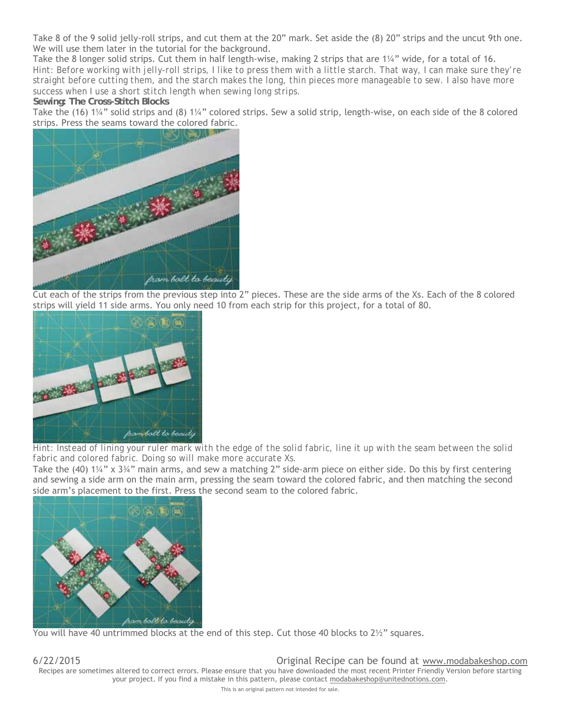Take 8 of the 9 solid jelly-roll strips, and cut them at the 20" mark. Set aside the (8) 20" strips and the uncut 9th one. We will use them later in the tutorial for the background.

Take the 8 longer solid strips. Cut them in half length-wise, making 2 strips that are 1¼" wide, for a total of 16. *Hint: Before working with jelly-roll strips, I like to press them with a little starch. That way, I can make sure they're straight before cutting them, and the starch makes the long, thin pieces more manageable to sew. I also have more success when I use a short stitch length when sewing long strips.*

**Sewing: The Cross-Stitch Blocks**

Take the (16) 1¼" solid strips and (8) 1¼" colored strips. Sew a solid strip, length-wise, on each side of the 8 colored strips. Press the seams toward the colored fabric.



Cut each of the strips from the previous step into 2" pieces. These are the side arms of the Xs. Each of the 8 colored strips will yield 11 side arms. You only need 10 from each strip for this project, for a total of 80.



*Hint: Instead of lining your ruler mark with the edge of the solid fabric, line it up with the seam between the solid fabric and colored fabric. Doing so will make more accurate Xs.*

Take the (40) 1¼" x 3¾" main arms, and sew a matching 2" side-arm piece on either side. Do this by first centering and sewing a side arm on the main arm, pressing the seam toward the colored fabric, and then matching the second side arm's placement to the first. Press the second seam to the colored fabric.



You will have 40 untrimmed blocks at the end of this step. Cut those 40 blocks to  $2\frac{1}{2}$ " squares.

6/22/2015 Original Recipe can be found at www.modabakeshop.com Recipes are sometimes altered to correct errors. Please ensure that you have downloaded the most recent Printer Friendly Version before starting your project. If you find a mistake in this pattern, please contact modabakeshop@unitednotions.com.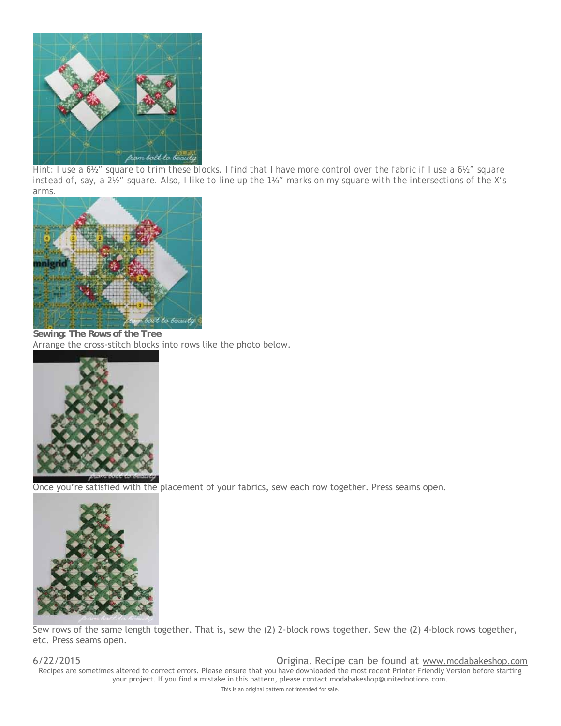

*Hint: I use a 6½" square to trim these blocks. I find that I have more control over the fabric if I use a 6½" square instead of, say, a 2½" square. Also, I like to line up the 1¼" marks on my square with the intersections of the X's arms.*



**Sewing: The Rows of the Tree**  Arrange the cross-stitch blocks into rows like the photo below.



Once you're satisfied with the placement of your fabrics, sew each row together. Press seams open.



Sew rows of the same length together. That is, sew the (2) 2-block rows together. Sew the (2) 4-block rows together, etc. Press seams open.

6/22/2015 Original Recipe can be found at www.modabakeshop.com Recipes are sometimes altered to correct errors. Please ensure that you have downloaded the most recent Printer Friendly Version before starting your project. If you find a mistake in this pattern, please contact modabakeshop@unitednotions.com.